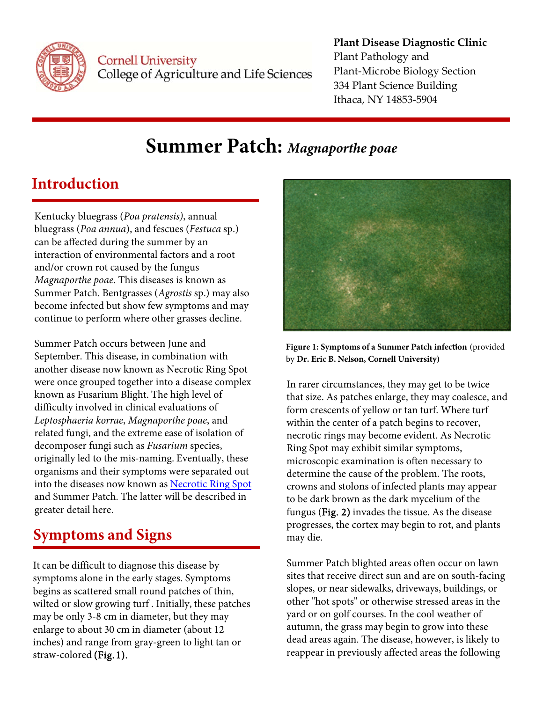

Cornell University College of Agriculture and Life Sciences

#### **Plant Disease Diagnostic Clinic** Plant Pathology and Plant‐Microbe Biology Section 334 Plant Science Building Ithaca, NY 14853‐5904

# **Summer Patch:** *Magnaporthe poae*

## **Introduction**

Kentucky bluegrass (*Poa pratensis)*, annual bluegrass (*Poa annua*), and fescues (*Festuca* sp.) can be affected during the summer by an interaction of environmental factors and a root and/or crown rot caused by the fungus *Magnaporthe poae*. This diseases is known as Summer Patch. Bentgrasses (*Agrostis* sp.) may also become infected but show few symptoms and may continue to perform where other grasses decline.

Summer Patch occurs between June and September. This disease, in combination with another disease now known as Necrotic Ring Spot were once grouped together into a disease complex known as Fusarium Blight. The high level of difficulty involved in clinical evaluations of *Leptosphaeria korrae*, *Magnaporthe poae*, and related fungi, and the extreme ease of isolation of decomposer fungi such as *Fusarium* species, originally led to the mis-naming. Eventually, these organisms and their symptoms were separated out into the diseases now known as [Necrotic Ring Spot](http://plantclinic.cornell.edu/factsheets/necroticringspot.pdf) and Summer Patch. The latter will be described in greater detail here.

# **Symptoms and Signs**

 It can be difficult to diagnose this disease by enlarge to about 30 cm in diameter (about 12 symptoms alone in the early stages. Symptoms begins as scattered small round patches of thin, wilted or slow growing turf . Initially, these patches may be only 3-8 cm in diameter, but they may inches) and range from gray-green to light tan or straw-colored (Fig.1).



**Figure 1: Symptoms of a Summer Patch infection** (provided by **Dr. Eric B. Nelson, Cornell University)** 

 within the center of a patch begins to recover, In rarer circumstances, they may get to be twice that size. As patches enlarge, they may coalesce, and form crescents of yellow or tan turf. Where turf necrotic rings may become evident. As Necrotic Ring Spot may exhibit similar symptoms, microscopic examination is often necessary to determine the cause of the problem. The roots, crowns and stolons of infected plants may appear to be dark brown as the dark mycelium of the fungus (Fig. 2) invades the tissue. As the disease progresses, the cortex may begin to rot, and plants may die.

 autumn, the grass may begin to grow into these Summer Patch blighted areas often occur on lawn sites that receive direct sun and are on south-facing slopes, or near sidewalks, driveways, buildings, or other "hot spots" or otherwise stressed areas in the yard or on golf courses. In the cool weather of dead areas again. The disease, however, is likely to reappear in previously affected areas the following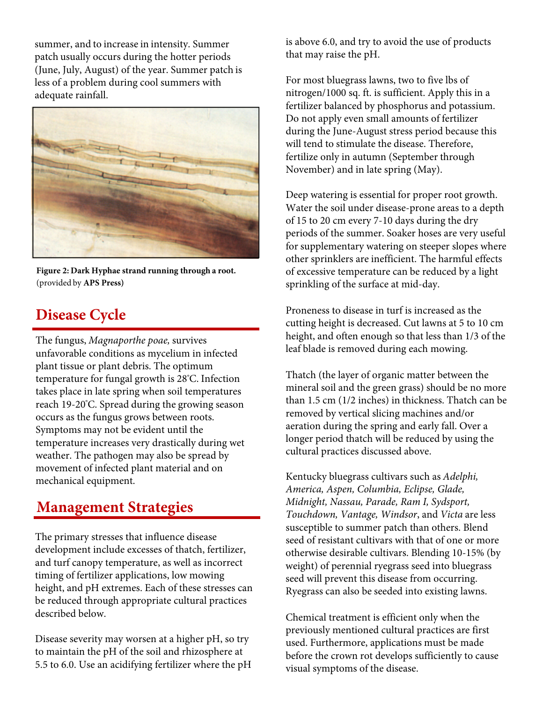summer, and to increase in intensity. Summer patch usually occurs during the hotter periods (June, July, August) of the year. Summer patch is less of a problem during cool summers with adequate rainfall.



**Figure 2: Dark Hyphae strand running through a root.**  (provided by **APS Press)** 

### **Disease Cycle**

 takes place in late spring when soil temperatures The fungus, *Magnaporthe poae,* survives unfavorable conditions as mycelium in infected plant tissue or plant debris. The optimum temperature for fungal growth is 28° C. Infection reach 19-20° C. Spread during the growing season occurs as the fungus grows between roots. Symptoms may not be evident until the temperature increases very drastically during wet weather. The pathogen may also be spread by movement of infected plant material and on mechanical equipment.

#### **Management Strategies**

The primary stresses that influence disease development include excesses of thatch, fertilizer, and turf canopy temperature, as well as incorrect timing of fertilizer applications, low mowing height, and pH extremes. Each of these stresses can be reduced through appropriate cultural practices described below.

Disease severity may worsen at a higher pH, so try to maintain the pH of the soil and rhizosphere at 5.5 to 6.0. Use an acidifying fertilizer where the pH is above 6.0, and try to avoid the use of products that may raise the pH.

 will tend to stimulate the disease. Therefore, For most bluegrass lawns, two to five lbs of nitrogen/1000 sq. ft. is sufficient. Apply this in a fertilizer balanced by phosphorus and potassium. Do not apply even small amounts of fertilizer during the June-August stress period because this fertilize only in autumn (September through November) and in late spring (May).

 of 15 to 20 cm every 7-10 days during the dry Deep watering is essential for proper root growth. Water the soil under disease-prone areas to a depth periods of the summer. Soaker hoses are very useful for supplementary watering on steeper slopes where other sprinklers are inefficient. The harmful effects of excessive temperature can be reduced by a light sprinkling of the surface at mid-day.

Proneness to disease in turf is increased as the cutting height is decreased. Cut lawns at 5 to 10 cm height, and often enough so that less than 1/3 of the leaf blade is removed during each mowing.

Thatch (the layer of organic matter between the mineral soil and the green grass) should be no more than 1.5 cm (1/2 inches) in thickness. Thatch can be removed by vertical slicing machines and/or aeration during the spring and early fall. Over a longer period thatch will be reduced by using the cultural practices discussed above.

Kentucky bluegrass cultivars such as *Adelphi, America, Aspen, Columbia, Eclipse, Glade, Midnight, Nassau, Parade, Ram I, Sydsport, Touchdown, Vantage, Windsor*, and *Victa* are less susceptible to summer patch than others. Blend seed of resistant cultivars with that of one or more otherwise desirable cultivars. Blending 10-15% (by weight) of perennial ryegrass seed into bluegrass seed will prevent this disease from occurring. Ryegrass can also be seeded into existing lawns.

Chemical treatment is efficient only when the previously mentioned cultural practices are first used. Furthermore, applications must be made before the crown rot develops sufficiently to cause visual symptoms of the disease.